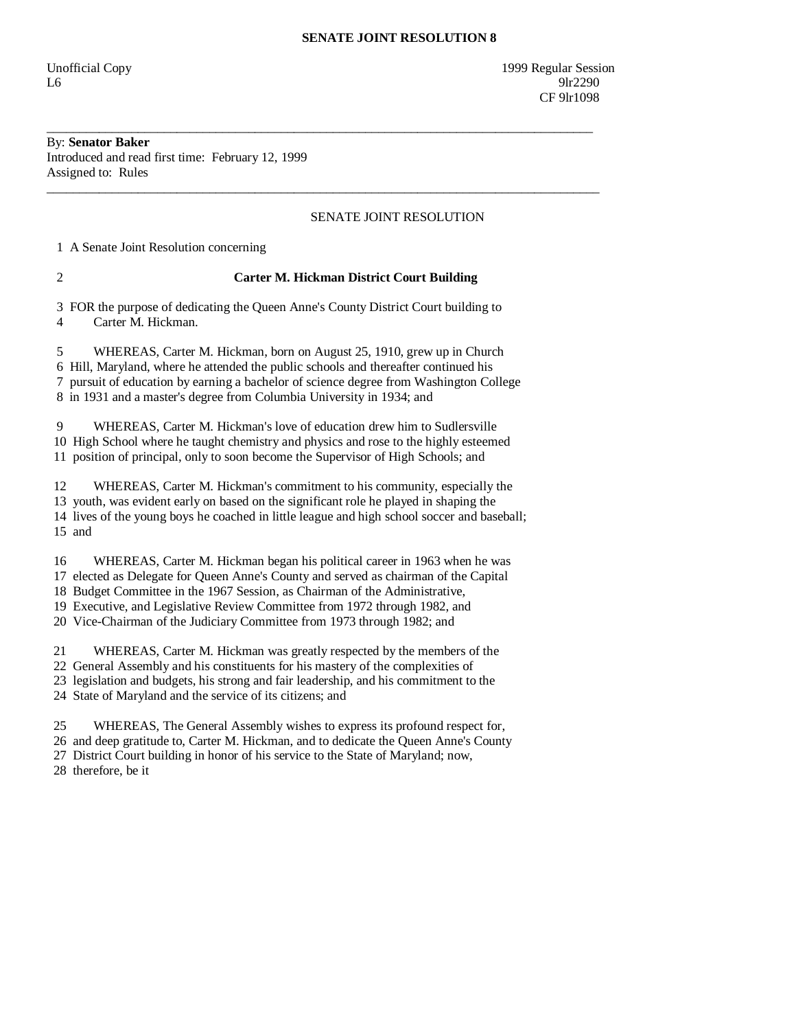Unofficial Copy 1999 Regular Session  $\mu$  9lr2290 CF 9lr1098

## By: **Senator Baker**  Introduced and read first time: February 12, 1999 Assigned to: Rules

## SENATE JOINT RESOLUTION

1 A Senate Joint Resolution concerning

## 2 **Carter M. Hickman District Court Building**

\_\_\_\_\_\_\_\_\_\_\_\_\_\_\_\_\_\_\_\_\_\_\_\_\_\_\_\_\_\_\_\_\_\_\_\_\_\_\_\_\_\_\_\_\_\_\_\_\_\_\_\_\_\_\_\_\_\_\_\_\_\_\_\_\_\_\_\_\_\_\_\_\_\_\_\_\_\_\_\_\_\_\_\_

\_\_\_\_\_\_\_\_\_\_\_\_\_\_\_\_\_\_\_\_\_\_\_\_\_\_\_\_\_\_\_\_\_\_\_\_\_\_\_\_\_\_\_\_\_\_\_\_\_\_\_\_\_\_\_\_\_\_\_\_\_\_\_\_\_\_\_\_\_\_\_\_\_\_\_\_\_\_\_\_\_\_\_\_\_

 3 FOR the purpose of dedicating the Queen Anne's County District Court building to 4 Carter M. Hickman.

 5 WHEREAS, Carter M. Hickman, born on August 25, 1910, grew up in Church 6 Hill, Maryland, where he attended the public schools and thereafter continued his 7 pursuit of education by earning a bachelor of science degree from Washington College 8 in 1931 and a master's degree from Columbia University in 1934; and

 9 WHEREAS, Carter M. Hickman's love of education drew him to Sudlersville 10 High School where he taught chemistry and physics and rose to the highly esteemed 11 position of principal, only to soon become the Supervisor of High Schools; and

 12 WHEREAS, Carter M. Hickman's commitment to his community, especially the 13 youth, was evident early on based on the significant role he played in shaping the 14 lives of the young boys he coached in little league and high school soccer and baseball; 15 and

 16 WHEREAS, Carter M. Hickman began his political career in 1963 when he was 17 elected as Delegate for Queen Anne's County and served as chairman of the Capital 18 Budget Committee in the 1967 Session, as Chairman of the Administrative,

19 Executive, and Legislative Review Committee from 1972 through 1982, and

20 Vice-Chairman of the Judiciary Committee from 1973 through 1982; and

21 WHEREAS, Carter M. Hickman was greatly respected by the members of the

22 General Assembly and his constituents for his mastery of the complexities of

23 legislation and budgets, his strong and fair leadership, and his commitment to the

24 State of Maryland and the service of its citizens; and

 25 WHEREAS, The General Assembly wishes to express its profound respect for, 26 and deep gratitude to, Carter M. Hickman, and to dedicate the Queen Anne's County 27 District Court building in honor of his service to the State of Maryland; now, 28 therefore, be it